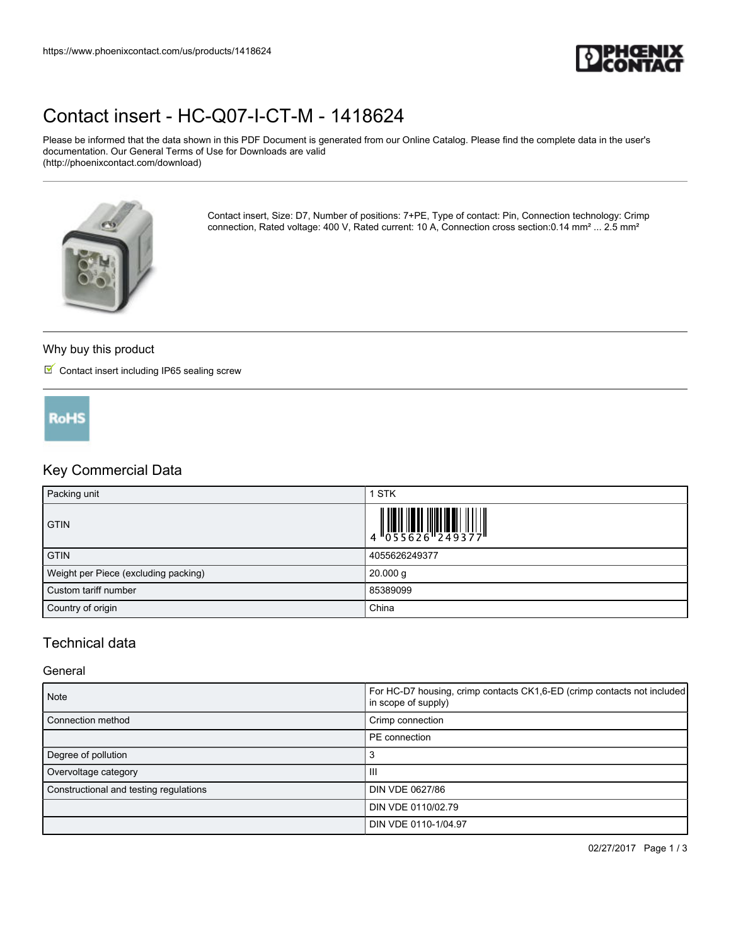

# [Contact insert - HC-Q07-I-CT-M - 1418624](https://www.phoenixcontact.com/us/products/1418624)

Please be informed that the data shown in this PDF Document is generated from our Online Catalog. Please find the complete data in the user's documentation. Our General Terms of Use for Downloads are valid (http://phoenixcontact.com/download)



Contact insert, Size: D7, Number of positions: 7+PE, Type of contact: Pin, Connection technology: Crimp connection, Rated voltage: 400 V, Rated current: 10 A, Connection cross section:0.14 mm<sup>2</sup> ... 2.5 mm<sup>2</sup>

## Why buy this product

 $\blacksquare$  Contact insert including IP65 sealing screw



## Key Commercial Data

| Packing unit                         | <b>STK</b>                                                                                                                                                                                                                                                                                                                |
|--------------------------------------|---------------------------------------------------------------------------------------------------------------------------------------------------------------------------------------------------------------------------------------------------------------------------------------------------------------------------|
| <b>GTIN</b>                          | $\begin{array}{c} 1 & 0 & 0 & 0 \\ 0 & 0 & 5 & 5 & 6 & 2 & 6 \\ 0 & 0 & 0 & 5 & 6 & 2 & 6 \\ 0 & 0 & 0 & 0 & 0 & 0 \\ 0 & 0 & 0 & 0 & 0 & 0 \\ 0 & 0 & 0 & 0 & 0 & 0 \\ 0 & 0 & 0 & 0 & 0 & 0 \\ 0 & 0 & 0 & 0 & 0 & 0 \\ 0 & 0 & 0 & 0 & 0 & 0 \\ 0 & 0 & 0 & 0 & 0 & 0 & 0 \\ 0 & 0 & 0 & 0 & 0 & 0 & 0 \\ 0 & 0 & 0 &$ |
| <b>GTIN</b>                          | 4055626249377                                                                                                                                                                                                                                                                                                             |
| Weight per Piece (excluding packing) | $20.000$ g                                                                                                                                                                                                                                                                                                                |
| Custom tariff number                 | 85389099                                                                                                                                                                                                                                                                                                                  |
| Country of origin                    | China                                                                                                                                                                                                                                                                                                                     |

# Technical data

#### **General**

| <b>Note</b>                            | For HC-D7 housing, crimp contacts CK1,6-ED (crimp contacts not included)<br>in scope of supply) |
|----------------------------------------|-------------------------------------------------------------------------------------------------|
| Connection method                      | Crimp connection                                                                                |
|                                        | PE connection                                                                                   |
| Degree of pollution                    | З                                                                                               |
| Overvoltage category                   | Ш                                                                                               |
| Constructional and testing regulations | DIN VDE 0627/86                                                                                 |
|                                        | DIN VDE 0110/02.79                                                                              |
|                                        | DIN VDE 0110-1/04.97                                                                            |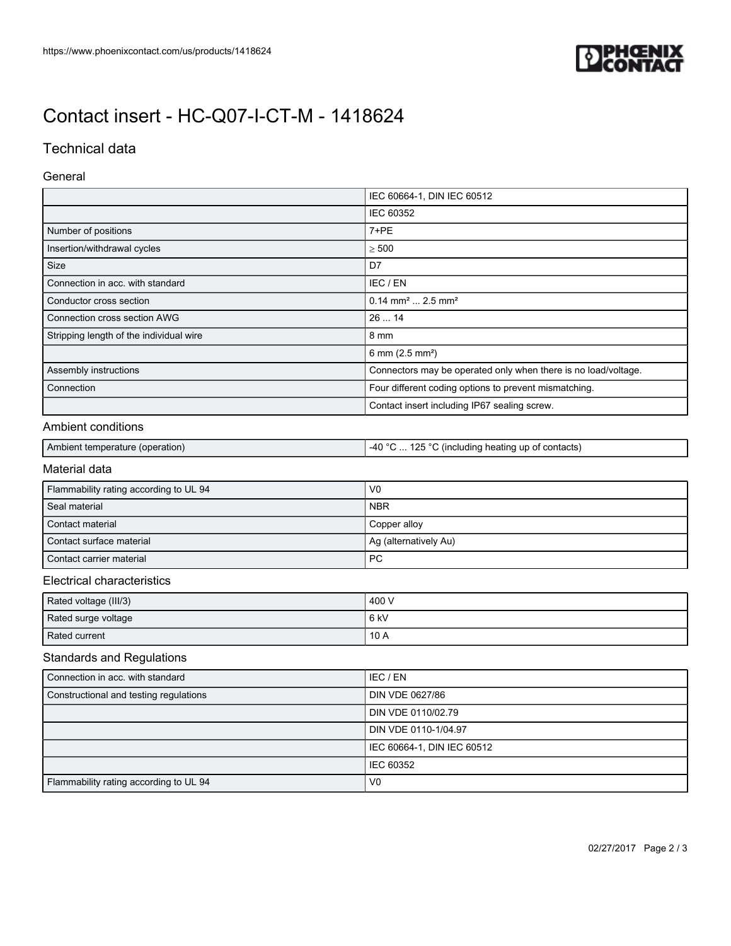

# [Contact insert - HC-Q07-I-CT-M - 1418624](https://www.phoenixcontact.com/us/products/1418624)

# Technical data

### General

|                                         | IEC 60664-1, DIN IEC 60512                                     |  |
|-----------------------------------------|----------------------------------------------------------------|--|
|                                         | IEC 60352                                                      |  |
| Number of positions                     | $7+PE$                                                         |  |
| Insertion/withdrawal cycles             | $\geq 500$                                                     |  |
| <b>Size</b>                             | D7                                                             |  |
| Connection in acc. with standard        | IEC / EN                                                       |  |
| Conductor cross section                 | $0.14$ mm <sup>2</sup> 2.5 mm <sup>2</sup>                     |  |
| Connection cross section AWG            | 2614                                                           |  |
| Stripping length of the individual wire | 8 mm                                                           |  |
|                                         | 6 mm $(2.5 \text{ mm}^2)$                                      |  |
| Assembly instructions                   | Connectors may be operated only when there is no load/voltage. |  |
| Connection                              | Four different coding options to prevent mismatching.          |  |
|                                         | Contact insert including IP67 sealing screw.                   |  |

### Ambient conditions

| i Ambient<br>(operation)<br>temberature | ハウド<br>$\sim$<br>_⊿∩ ി<br>$\sim$<br>contacts)<br>(incl<br>:Iudina heatina up<br>ОT<br>ு ப<br>$\sim$ |
|-----------------------------------------|-----------------------------------------------------------------------------------------------------|
|-----------------------------------------|-----------------------------------------------------------------------------------------------------|

# Material data

| Flammability rating according to UL 94 | V <sub>0</sub>        |
|----------------------------------------|-----------------------|
| Seal material                          | <b>NBR</b>            |
| Contact material                       | Copper alloy          |
| Contact surface material               | Ag (alternatively Au) |
| Contact carrier material               | PC                    |

### Electrical characteristics

| Rated voltage (III/3) | 400 V |
|-----------------------|-------|
| Rated surge voltage   | 6 kV  |
| Rated current         | 10A   |

# Standards and Regulations

| Connection in acc. with standard       | IEC / EN                   |
|----------------------------------------|----------------------------|
| Constructional and testing regulations | DIN VDE 0627/86            |
|                                        | DIN VDE 0110/02.79         |
|                                        | DIN VDE 0110-1/04.97       |
|                                        | IEC 60664-1, DIN IEC 60512 |
|                                        | <b>IEC 60352</b>           |
| Flammability rating according to UL 94 | V <sub>0</sub>             |